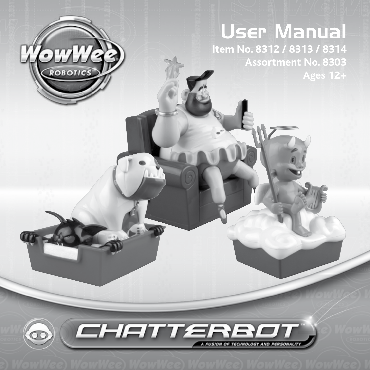# ROBOTICS

# User Manual

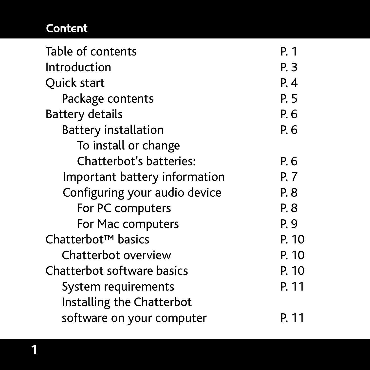# Content

| Table of contents              | P. 1  |
|--------------------------------|-------|
| Introduction                   | P. 3  |
| Quick start                    | P.4   |
| Package contents               | P. 5  |
| <b>Battery details</b>         | P. 6  |
| <b>Battery installation</b>    | P. 6  |
| To install or change           |       |
| Chatterbot's batteries:        | P. 6  |
| Important battery information  | P. 7  |
| Configuring your audio device  | P. 8  |
| For PC computers               | P. 8  |
| For Mac computers              | P. 9  |
| Chatterbot <sup>™</sup> basics | P. 10 |
| Chatterbot overview            | P. 10 |
| Chatterbot software basics     | P. 10 |
| System requirements            | P. 11 |
| Installing the Chatterbot      |       |
| software on your computer      | P. 11 |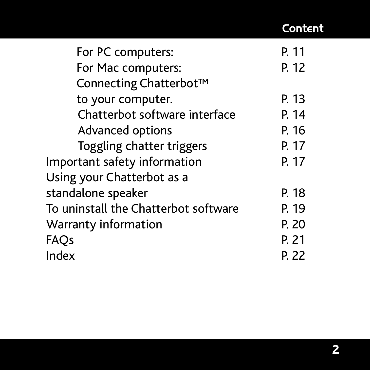# Content

| For PC computers:                    | P. 11 |
|--------------------------------------|-------|
| For Mac computers:                   | P. 12 |
| Connecting Chatterbot™               |       |
| to your computer.                    | P. 13 |
| Chatterbot software interface        | P. 14 |
| Advanced options                     | P. 16 |
| Toggling chatter triggers            | P. 17 |
| Important safety information         | P. 17 |
| Using your Chatterbot as a           |       |
| standalone speaker                   | P. 18 |
| To uninstall the Chatterbot software | P. 19 |
| Warranty information                 | P. 20 |
| FAQs                                 | P. 21 |
| Index                                | P. 22 |
|                                      |       |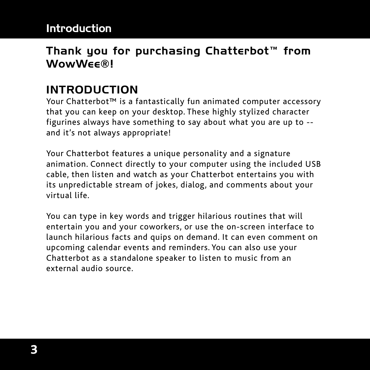# Thank you for purchasing Chatterbot™ from WowW<sub>EE®</sub>

# INTRODUCTION

Your Chatterbot™ is a fantastically fun animated computer accessory that you can keep on your desktop. These highly stylized character figurines always have something to say about what you are up to - and it's not always appropriate!

Your Chatterbot features a unique personality and a signature animation. Connect directly to your computer using the included USB cable, then listen and watch as your Chatterbot entertains you with its unpredictable stream of jokes, dialog, and comments about your virtual life.

You can type in key words and trigger hilarious routines that will entertain you and your coworkers, or use the on-screen interface to launch hilarious facts and quips on demand. It can even comment on upcoming calendar events and reminders. You can also use your Chatterbot as a standalone speaker to listen to music from an external audio source.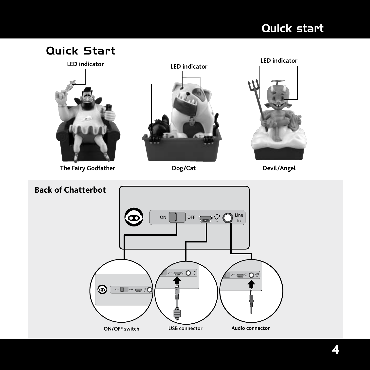# Quick start

# Quick Start



**The Fairy Godfather Dog/Cat Devil/Angel**





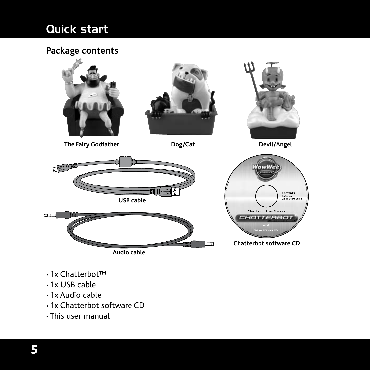# Quick start

### **Package contents**



- 1x Chatterbot™
- 1x USB cable
- 1x Audio cable
- 1x Chatterbot software CD
- This user manual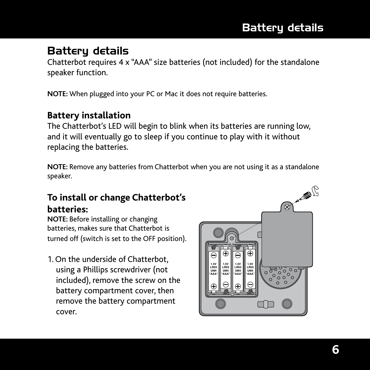# Battery details

# Battery details

Chatterbot requires 4 x "AAA" size batteries (not included) for the standalone speaker function.

**NOTE:** When plugged into your PC or Mac it does not require batteries.

### **Battery installation**

The Chatterbot's LED will begin to blink when its batteries are running low, and it will eventually go to sleep if you continue to play with it without replacing the batteries.

**NOTE:** Remove any batteries from Chatterbot when you are not using it as a standalone speaker.

### **To install or change Chatterbot's batteries:**

**NOTE:** Before installing or changing batteries, makes sure that Chatterbot is turned off (switch is set to the OFF position).

1. On the underside of Chatterbot, using a Phillips screwdriver (not included), remove the screw on the battery compartment cover, then remove the battery compartment cover.

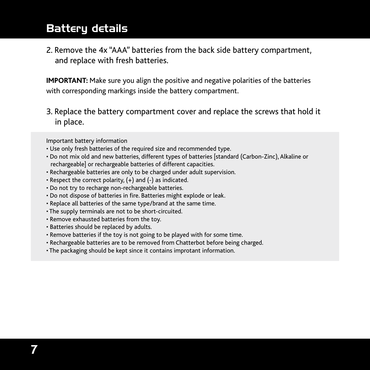# Battery details

2. Remove the 4x "AAA" batteries from the back side battery compartment, and replace with fresh batteries.

**IMPORTANT:** Make sure you align the positive and negative polarities of the batteries with corresponding markings inside the battery compartment.

3. Replace the battery compartment cover and replace the screws that hold it in place.

Important battery information

- Use only fresh batteries of the required size and recommended type.
- Do not mix old and new batteries, different types of batteries [standard (Carbon-Zinc), Alkaline or rechargeable] or rechargeable batteries of different capacities.
- Rechargeable batteries are only to be charged under adult supervision.
- Respect the correct polarity,  $(+)$  and  $(-)$  as indicated.
- Do not try to recharge non-rechargeable batteries.
- Do not dispose of batteries in fire. Batteries might explode or leak.
- Replace all batteries of the same type/brand at the same time.
- The supply terminals are not to be short-circuited.
- Remove exhausted batteries from the toy.
- Batteries should be replaced by adults.
- Remove batteries if the toy is not going to be played with for some time.
- Rechargeable batteries are to be removed from Chatterbot before being charged.
- The packaging should be kept since it contains improtant information.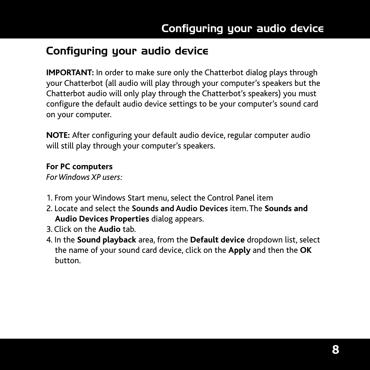# Configuring your audio device

**IMPORTANT:** In order to make sure only the Chatterbot dialog plays through your Chatterbot (all audio will play through your computer's speakers but the Chatterbot audio will only play through the Chatterbot's speakers) you must configure the default audio device settings to be your computer's sound card on your computer.

**NOTE:** After configuring your default audio device, regular computer audio will still play through your computer's speakers.

### **For PC computers**

*For Windows XP users:*

- 1. From your Windows Start menu, select the Control Panel item
- 2. Locate and select the **Sounds and Audio Devices** item. The **Sounds and Audio Devices Properties** dialog appears.
- 3. Click on the **Audio** tab.
- 4. In the **Sound playback** area, from the **Default device** dropdown list, select the name of your sound card device, click on the **Apply** and then the **OK** button.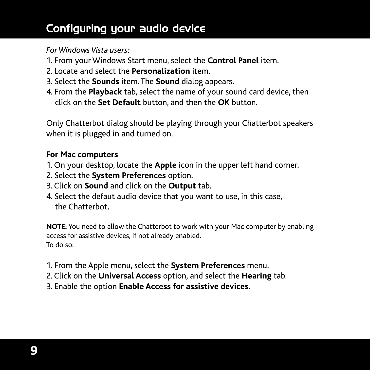# Configuring your audio device

### *For Windows Vista users:*

- 1. From your Windows Start menu, select the **Control Panel** item.
- 2. Locate and select the **Personalization** item.
- 3. Select the **Sounds** item. The **Sound** dialog appears.
- 4. From the **Playback** tab, select the name of your sound card device, then click on the **Set Default** button, and then the **OK** button.

Only Chatterbot dialog should be playing through your Chatterbot speakers when it is plugged in and turned on.

### **For Mac computers**

- 1. On your desktop, locate the **Apple** icon in the upper left hand corner.
- 2. Select the **System Preferences** option.
- 3. Click on **Sound** and click on the **Output** tab.
- 4. Select the defaut audio device that you want to use, in this case, the Chatterbot.

**NOTE:** You need to allow the Chatterbot to work with your Mac computer by enabling access for assistive devices, if not already enabled. To do so:

- 1. From the Apple menu, select the **System Preferences** menu.
- 2. Click on the **Universal Access** option, and select the **Hearing** tab.
- 3. Enable the option **Enable Access for assistive devices**.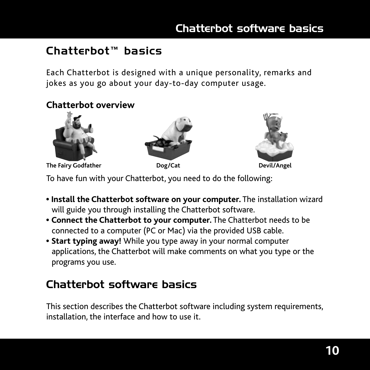# Chatterbot™ basics

Each Chatterbot is designed with a unique personality, remarks and jokes as you go about your day-to-day computer usage.

### **Chatterbot overview**







To have fun with your Chatterbot, you need to do the following:

- • **Install the Chatterbot software on your computer.** The installation wizard will guide you through installing the Chatterbot software.
- **Connect the Chatterbot to your computer.** The Chatterbot needs to be connected to a computer (PC or Mac) via the provided USB cable.
- **Start typing away!** While you type away in your normal computer applications, the Chatterbot will make comments on what you type or the programs you use.

# Chatterbot software basics

This section describes the Chatterbot software including system requirements, installation, the interface and how to use it.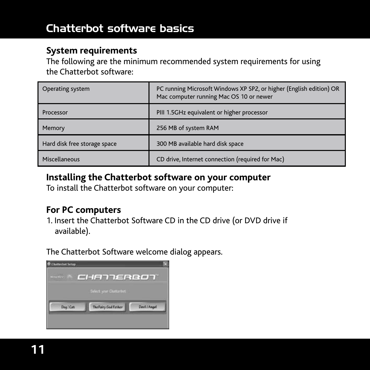### **System requirements**

The following are the minimum recommended system requirements for using the Chatterbot software:

| Operating system             | PC running Microsoft Windows XP SP2, or higher (English edition) OR<br>Mac computer running Mac OS 10 or newer |
|------------------------------|----------------------------------------------------------------------------------------------------------------|
| Processor                    | PIII 1.5GHz equivalent or higher processor                                                                     |
| Memory                       | 256 MB of system RAM                                                                                           |
| Hard disk free storage space | 300 MB available hard disk space                                                                               |
| Miscellaneous                | CD drive, Internet connection (required for Mac)                                                               |

### **Installing the Chatterbot software on your computer**

To install the Chatterbot software on your computer:

### **For PC computers**

1. Insert the Chatterbot Software CD in the CD drive (or DVD drive if available).

The Chatterbot Software welcome dialog appears.

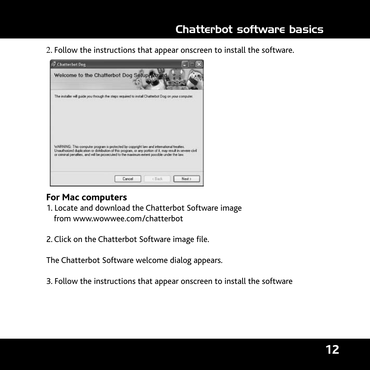2. Follow the instructions that appear onscreen to install the software.



### **For Mac computers**

- 1. Locate and download the Chatterbot Software image from www.wowwee.com/chatterbot
- 2. Click on the Chatterbot Software image file.

The Chatterbot Software welcome dialog appears.

3. Follow the instructions that appear onscreen to install the software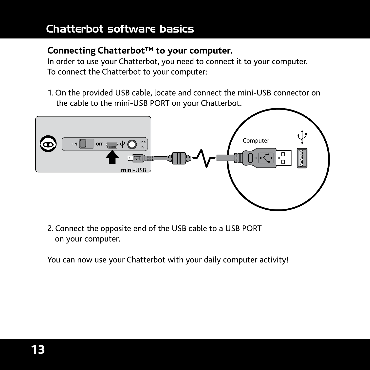### **Connecting Chatterbot™ to your computer.**

In order to use your Chatterbot, you need to connect it to your computer. To connect the Chatterbot to your computer:

1. On the provided USB cable, locate and connect the mini-USB connector on the cable to the mini-USB PORT on your Chatterbot.



2. Connect the opposite end of the USB cable to a USB PORT on your computer.

You can now use your Chatterbot with your daily computer activity!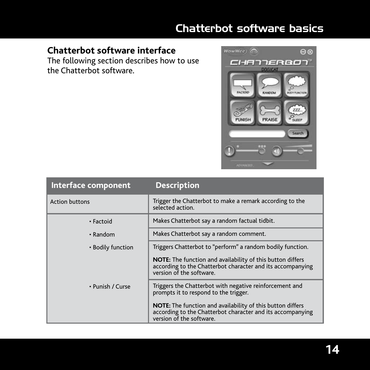# **Chatterbot software interface**

The following section describes how to use the Chatterbot software.



| Interface component   | <b>Description</b>                                                                                                                                          |
|-----------------------|-------------------------------------------------------------------------------------------------------------------------------------------------------------|
| <b>Action buttons</b> | Trigger the Chatterbot to make a remark according to the<br>selected action.                                                                                |
| • Factoid             | Makes Chatterbot say a random factual tidbit.                                                                                                               |
| $\cdot$ Random        | Makes Chatterbot say a random comment.                                                                                                                      |
| • Bodily function     | Triggers Chatterbot to "perform" a random bodily function.                                                                                                  |
|                       | NOTE: The function and availability of this button differs<br>according to the Chatterbot character and its accompanying<br>version of the software         |
| • Punish / Curse      | Triggers the Chatterbot with negative reinforcement and<br>prompts it to respond to the trigger.                                                            |
|                       | <b>NOTE:</b> The function and availability of this button differs<br>according to the Chatterbot character and its accompanying<br>version of the software. |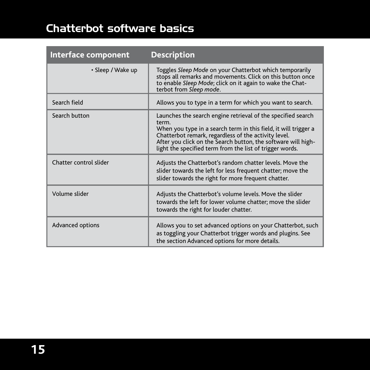| Interface component    | <b>Description</b>                                                                                                                                                                                                                                                                                                            |
|------------------------|-------------------------------------------------------------------------------------------------------------------------------------------------------------------------------------------------------------------------------------------------------------------------------------------------------------------------------|
| • Sleep / Wake up      | Toggles Sleep Mode on your Chatterbot which temporarily<br>stops all remarks and movements. Click on this button once<br>to enable Sleep Mode; click on it again to wake the Chat-<br>terbot from Sleep mode.                                                                                                                 |
| Search field           | Allows you to type in a term for which you want to search.                                                                                                                                                                                                                                                                    |
| Search button          | Launches the search engine retrieval of the specified search<br>term.<br>When you type in a search term in this field, it will trigger a<br>Chatterbot remark, regardless of the activity level.<br>After you click on the Search button, the software will high-<br>light the specified term from the list of trigger words. |
| Chatter control slider | Adjusts the Chatterbot's random chatter levels. Move the<br>slider towards the left for less frequent chatter; move the<br>slider towards the right for more frequent chatter.                                                                                                                                                |
| Volume slider          | Adjusts the Chatterbot's volume levels. Move the slider<br>towards the left for lower volume chatter; move the slider<br>towards the right for louder chatter.                                                                                                                                                                |
| Advanced options       | Allows you to set advanced options on your Chatterbot, such<br>as toggling your Chatterbot trigger words and plugins. See<br>the section Advanced options for more details.                                                                                                                                                   |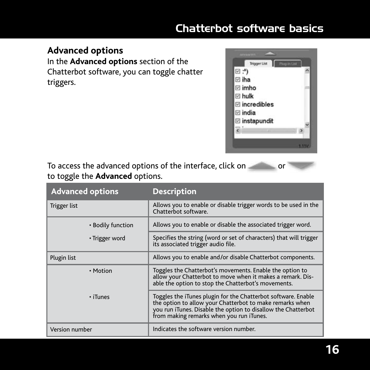### **Advanced options**

In the **Advanced options** section of the Chatterbot software, you can toggle chatter triggers.



To access the advanced options of the interface, click on to toggle the **Advanced** options.

| <b>Advanced options</b> | <b>Description</b>                                                                                                                                                                                                                     |
|-------------------------|----------------------------------------------------------------------------------------------------------------------------------------------------------------------------------------------------------------------------------------|
| Trigger list            | Allows you to enable or disable trigger words to be used in the<br>Chatterbot software.                                                                                                                                                |
| • Bodily function       | Allows you to enable or disable the associated trigger word.                                                                                                                                                                           |
| • Trigger word          | Specifies the string (word or set of characters) that will trigger<br>its associated trigger audio file.                                                                                                                               |
| Plugin list             | Allows you to enable and/or disable Chatterbot components.                                                                                                                                                                             |
| • Motion                | Toggles the Chatterbot's movements. Enable the option to<br>allow your Chatterbot to move when it makes a remark. Dis-<br>able the option to stop the Chatterbot's movements.                                                          |
| · iTunes                | Toggles the iTunes plugin for the Chatterbot software. Enable<br>the option to allow your Chatterbot to make remarks when<br>you run iTunes. Disable the option to disallow the Chatterbot<br>from making remarks when you run iTunes. |
| Version number          | Indicates the software version number.                                                                                                                                                                                                 |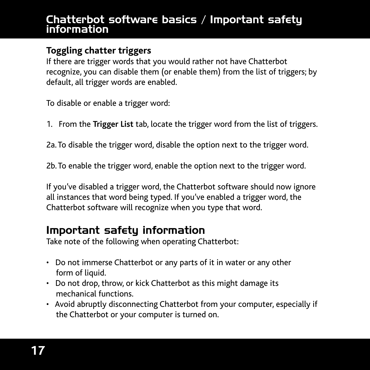### Chatterbot software basics / Important safety information

### **Toggling chatter triggers**

If there are trigger words that you would rather not have Chatterbot recognize, you can disable them (or enable them) from the list of triggers; by default, all trigger words are enabled.

To disable or enable a trigger word:

1. From the **Trigger List** tab, locate the trigger word from the list of triggers.

2a. To disable the trigger word, disable the option next to the trigger word.

2b. To enable the trigger word, enable the option next to the trigger word.

If you've disabled a trigger word, the Chatterbot software should now ignore all instances that word being typed. If you've enabled a trigger word, the Chatterbot software will recognize when you type that word.

# Important safety information

Take note of the following when operating Chatterbot:

- Do not immerse Chatterbot or any parts of it in water or any other form of liquid.
- Do not drop, throw, or kick Chatterbot as this might damage its mechanical functions.
- Avoid abruptly disconnecting Chatterbot from your computer, especially if the Chatterbot or your computer is turned on.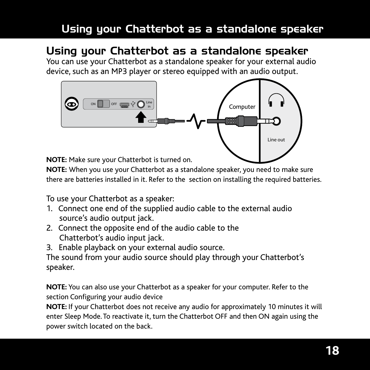# Using your Chatterbot as a standalone speaker

# Using your Chatterbot as a standalone speaker

You can use your Chatterbot as a standalone speaker for your external audio device, such as an MP3 player or stereo equipped with an audio output.



**NOTE:** Make sure your Chatterbot is turned on.

**NOTE:** When you use your Chatterbot as a standalone speaker, you need to make sure there are batteries installed in it. Refer to the section on installing the required batteries.

To use your Chatterbot as a speaker:

- 1. Connect one end of the supplied audio cable to the external audio source's audio output jack.
- 2. Connect the opposite end of the audio cable to the Chatterbot's audio input jack.
- 3. Enable playback on your external audio source.

The sound from your audio source should play through your Chatterbot's speaker.

**NOTE:** You can also use your Chatterbot as a speaker for your computer. Refer to the section Configuring your audio device

**NOTE:** If your Chatterbot does not receive any audio for approximately 10 minutes it will enter Sleep Mode. To reactivate it, turn the Chatterbot OFF and then ON again using the power switch located on the back.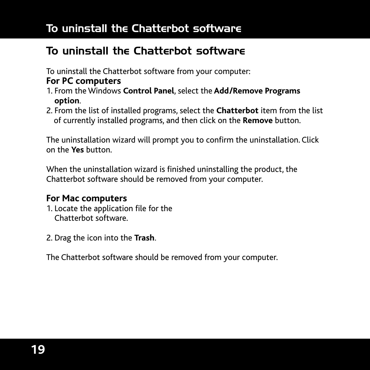# To uninstall the Chatterbot software

# To uninstall the Chatterbot software

To uninstall the Chatterbot software from your computer:

### **For PC computers**

- 1. From the Windows **Control Panel**, select the **Add/Remove Programs option**.
- 2. From the list of installed programs, select the **Chatterbot** item from the list of currently installed programs, and then click on the **Remove** button.

The uninstallation wizard will prompt you to confirm the uninstallation. Click on the **Yes** button.

When the uninstallation wizard is finished uninstalling the product, the Chatterbot software should be removed from your computer.

### **For Mac computers**

- 1. Locate the application file for the Chatterbot software.
- 2. Drag the icon into the **Trash**.

The Chatterbot software should be removed from your computer.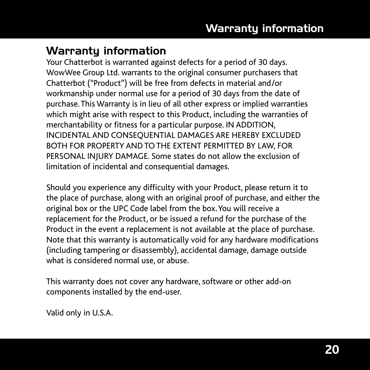# Warranty information

Your Chatterbot is warranted against defects for a period of 30 days. WowWee Group Ltd. warrants to the original consumer purchasers that Chatterbot ("Product") will be free from defects in material and/or workmanship under normal use for a period of 30 days from the date of purchase. This Warranty is in lieu of all other express or implied warranties which might arise with respect to this Product, including the warranties of merchantability or fitness for a particular purpose. IN ADDITION, INCIDENTAL AND CONSEQUENTIAL DAMAGES ARE HEREBY EXCLUDED BOTH FOR PROPERTY AND TO THE EXTENT PERMITTED BY LAW, FOR PERSONAL INJURY DAMAGE. Some states do not allow the exclusion of limitation of incidental and consequential damages.

Should you experience any difficulty with your Product, please return it to the place of purchase, along with an original proof of purchase, and either the original box or the UPC Code label from the box. You will receive a replacement for the Product, or be issued a refund for the purchase of the Product in the event a replacement is not available at the place of purchase. Note that this warranty is automatically void for any hardware modifications (including tampering or disassembly), accidental damage, damage outside what is considered normal use, or abuse.

This warranty does not cover any hardware, software or other add-on components installed by the end-user.

Valid only in U.S.A.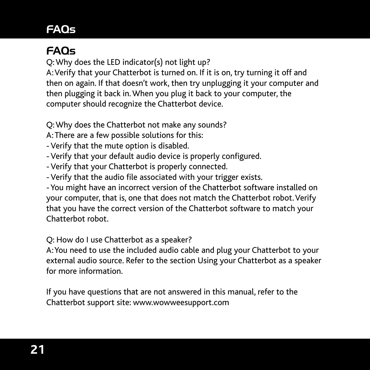# FAQs

# FAQs

Q: Why does the LED indicator(s) not light up?

A: Verify that your Chatterbot is turned on. If it is on, try turning it off and then on again. If that doesn't work, then try unplugging it your computer and then plugging it back in. When you plug it back to your computer, the computer should recognize the Chatterbot device.

Q: Why does the Chatterbot not make any sounds?

- A: There are a few possible solutions for this:
- Verify that the mute option is disabled.
- Verify that your default audio device is properly configured.
- Verify that your Chatterbot is properly connected.
- Verify that the audio file associated with your trigger exists.

- You might have an incorrect version of the Chatterbot software installed on your computer, that is, one that does not match the Chatterbot robot. Verify that you have the correct version of the Chatterbot software to match your Chatterbot robot.

Q: How do I use Chatterbot as a speaker?

A: You need to use the included audio cable and plug your Chatterbot to your external audio source. Refer to the section Using your Chatterbot as a speaker for more information.

If you have questions that are not answered in this manual, refer to the Chatterbot support site: www.wowweesupport.com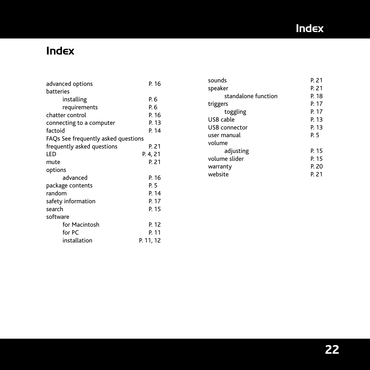# Index

# Index

| advanced options                    | P. 16     |
|-------------------------------------|-----------|
| batteries                           |           |
| installing                          | P. 6      |
| requirements                        | P. 6      |
| chatter control                     | P. 16     |
| connecting to a computer            | P. 13     |
| factoid                             | P. 14     |
| FAQs See frequently asked questions |           |
| frequently asked questions          | P. 21     |
| LED                                 | P. 4, 21  |
| mute                                | P. 21     |
| options                             |           |
| advanced                            | P. 16     |
| package contents                    | P. 5      |
| random                              | P. 14     |
| safety information                  | P. 17     |
| search                              | P. 15     |
| software                            |           |
| for Macintosh                       | P. 12     |
| for PC                              | P. 11     |
| installation                        | P. 11, 12 |

| sounds              | P. 21 |
|---------------------|-------|
| speaker             | P. 21 |
| standalone function | P. 18 |
| triggers            | P. 17 |
| toggling            | P. 17 |
| USB cable           | P. 13 |
| USB connector       | P. 13 |
| user manual         | PБ    |
| volume              |       |
| adjusting           | P. 15 |
| volume slider       | P. 15 |
| warranty            | P. 20 |
| website             | P. 21 |
|                     |       |